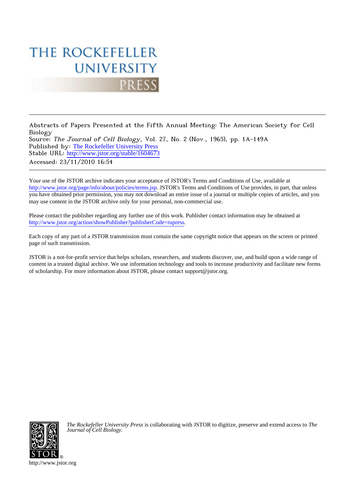### THE ROCKEFELLER **UNIVERSITY** PRESS

Abstracts of Papers Presented at the Fifth Annual Meeting: The American Society for Cell Biology Source: The Journal of Cell Biology, Vol. 27, No. 2 (Nov., 1965), pp. 1A-149A Published by: [The Rockefeller University Press](http://www.jstor.org/action/showPublisher?publisherCode=rupress) Stable URL: [http://www.jstor.org/stable/1604673](http://www.jstor.org/stable/1604673?origin=JSTOR-pdf)

Accessed: 23/11/2010 16:54

Your use of the JSTOR archive indicates your acceptance of JSTOR's Terms and Conditions of Use, available at <http://www.jstor.org/page/info/about/policies/terms.jsp>. JSTOR's Terms and Conditions of Use provides, in part, that unless you have obtained prior permission, you may not download an entire issue of a journal or multiple copies of articles, and you may use content in the JSTOR archive only for your personal, non-commercial use.

Please contact the publisher regarding any further use of this work. Publisher contact information may be obtained at [http://www.jstor.org/action/showPublisher?publisherCode=rupress.](http://www.jstor.org/action/showPublisher?publisherCode=rupress)

Each copy of any part of a JSTOR transmission must contain the same copyright notice that appears on the screen or printed page of such transmission.

JSTOR is a not-for-profit service that helps scholars, researchers, and students discover, use, and build upon a wide range of content in a trusted digital archive. We use information technology and tools to increase productivity and facilitate new forms of scholarship. For more information about JSTOR, please contact support@jstor.org.



*The Rockefeller University Press* is collaborating with JSTOR to digitize, preserve and extend access to *The Journal of Cell Biology.*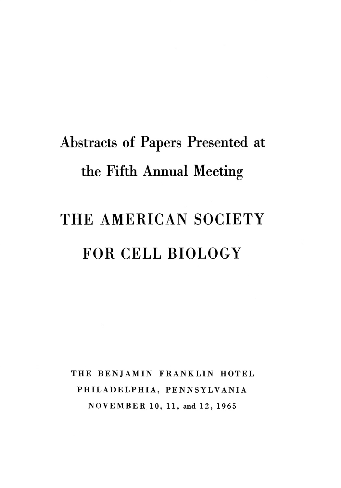## **Abstracts of Papers Presented at the Fifth Annual Meeting**

# **THE AMERICAN SOCIETY FOR CELL BIOLOGY**

**THE BENJAMIN FRANKLIN HOTEL PHILADELPHIA, PENNSYLVANIA NOVEMBER 10, 11, and 12, 1965**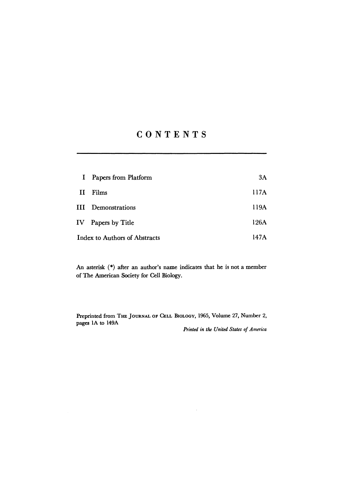### **CONTENTS**

| $\mathbf{I}$                  | Papers from Platform | 3A   |
|-------------------------------|----------------------|------|
| П                             | Films                | 117A |
|                               | III Demonstrations   | 119A |
|                               | IV Papers by Title   | 126A |
| Index to Authors of Abstracts |                      | 147A |

**An asterisk (\*) after an author's name indicates that he is not a member of The American Society for Cell Biology.** 

**Preprinted from THE JOURNAL OF CELL BIOLOGY, 1965, Volume 27, Number 2, pages 1A to 149A** 

**Printed in the United States of America**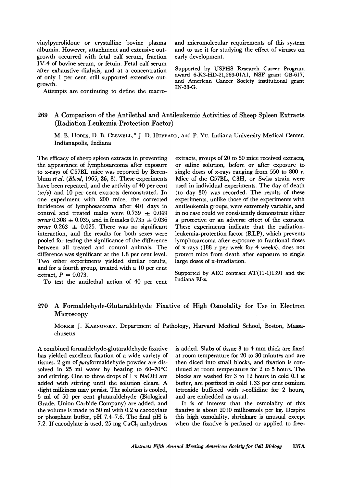**vinylpyrrolidone or crystalline bovine plasma albumin. However, attachment and extensive outgrowth occurred with fetal calf serum, fraction IV-4 of bovine serum, or fetuin. Fetal calf serum after exhaustive dialysis, and at a concentration of only 1 per cent, still supported extensive outgrowth.** 

**Attempts are continuing to define the macro-**

**and micromolecular requirements of this system and to use it for studying the effect of viruses on early development.** 

**Supported by USPHS Research Career Program award 6-K3-HD-21,269-O01A, NSF grant GB-617, and American Cancer Society institutional grant IN-38-G.** 

#### **269 A Comparison of the Antilethal and Antileukemic Activities of Sheep Spleen Extracts (Radiation-Leukemia-Protection Factor)**

**M. E. HODES, D. B. CLEWELL,\* J. D. HUBBARD, and P. Yu. Indiana University Medical Center, Indianapolis, Indiana** 

**The efficacy of sheep spleen extracts in preventing the appearance of lymphosarcoma after exposure to x-rays of C57BL mice was reported by Berenblum et al. (Blood, 1965, 26, 8). These experiments have been repeated, and the activity of 40 per cent (w/v) and 10 per cent extracts demonstrated. In one experiment with 200 mice, the corrected incidences of lymphosarcoma after 401 days in**  control and treated males were  $0.739 \pm 0.049$  $versus 0.308 \pm 0.035$ , and in females  $0.735 \pm 0.036$  $versus$  0.263  $\pm$  0.025. There was no significant **interaction, and the results for both sexes were pooled for testing the significance of the difference between all treated and control animals. The difference was significant at the 1.8 per cent level. Two other experiments yielded similar results, and for a fourth group, treated with a 10 per cent extract,**  $P = 0.073$ **.** 

**To test the antilethal action of 40 per cent** 

**extracts, groups of 20 to 50 mice received extracts, or saline solution, before or after exposure to single doses of x-rays ranging from 550 to 800 r. Mice of the C57BL, C3H, or Swiss strain were used in individual experiments. The day of death (to day 30) was recorded. The results of these experiments, unlike those of the experiments with antileukemia groups, were extremely variable, and in no case could we consistently demonstrate either a protective or an adverse effect of the extracts. These experiments indicate that the radiationleukemia-protection factor (RLP), which prevents lymphosarcoma after exposure to fractional doses of x-rays (188 r per week for 4 weeks), does not protect mice from death after exposure to single large doses of x-irradiation.** 

**Supported by AEC contract AT(11-1)1391 and the Indiana Elks.** 

#### **270 A Formaldehyde-Glutaraldehyde Fixative of High Osmolality for Use in Electron Microscopy**

**MORRIS J. KARNOVSKY. Department of Pathology, Harvard Medical School, Boston, Massachusetts** 

**A combined formaldehyde-glutaraldehyde fixative has yielded excellent fixation of a wide variety of tissues. 2 gm of paraformaldehyde powder are dissolved in 25 ml water by heating to 60-70?C and stirring. One to three drops of 1 N NaOH are added with stirring until the solution clears. A slight milkiness may persist. The solution is cooled, 5 ml of 50 per cent glutaraldehyde (Biological Grade, Union Carbide Company) are added, and the volume is made to 50 ml with 0.2 M cacodylate or phosphate buffer, pH 7.4-7.6. The final pH is**  7.2. If cacodylate is used, 25 mg CaCl<sub>2</sub> anhydrous

**is added. Slabs of tissue 3 to 4 mm thick are fixed at room temperature for 20 to 30 minutes and are then diced into small blocks, and fixation is continued at room temperature for 2 to 5 hours. The blocks are washed for 3 to 12 hours in cold 0.1 M buffer, are postfixed in cold 1.33 per cent osmium tetroxide buffered with s-collidine for 2 hours, and are embedded as usual.** 

**It is of interest that the osmolality of this fixative is about 2010 milliosmols per kg. Despite this high osmolality, shrinkage is unusual except when the fixative is perfused or applied to free-**